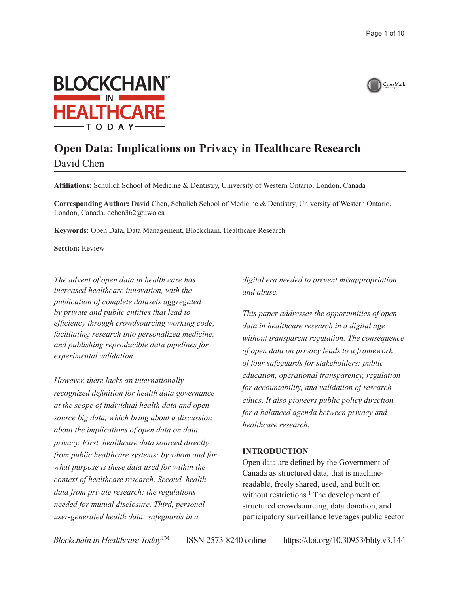



# **Open Data: Implications on Privacy in Healthcare Research**

David Chen

**Affiliations:** Schulich School of Medicine & Dentistry, University of Western Ontario, London, Canada

**Corresponding Author:** David Chen, Schulich School of Medicine & Dentistry, University of Western Ontario, London, Canada. [dchen362@uwo.ca](mailto:dchen362@uwo.ca)

**Keywords:** Open Data, Data Management, Blockchain, Healthcare Research

**Section:** Review

*The advent of open data in health care has increased healthcare innovation, with the publication of complete datasets aggregated by private and public entities that lead to efficiency through crowdsourcing working code, facilitating research into personalized medicine, and publishing reproducible data pipelines for experimental validation.*

*However, there lacks an internationally recognized definition for health data governance at the scope of individual health data and open source big data, which bring about a discussion about the implications of open data on data privacy. First, healthcare data sourced directly from public healthcare systems: by whom and for what purpose is these data used for within the context of healthcare research. Second, health data from private research: the regulations needed for mutual disclosure. Third, personal user-generated health data: safeguards in a* 

*digital era needed to prevent misappropriation and abuse.*

*This paper addresses the opportunities of open data in healthcare research in a digital age without transparent regulation. The consequence of open data on privacy leads to a framework of four safeguards for stakeholders: public education, operational transparency, regulation for accountability, and validation of research ethics. It also pioneers public policy direction for a balanced agenda between privacy and healthcare research.*

#### **INTRODUCTION**

Open data are defined by the Government of Canada as structured data, that is machinereadable, freely shared, used, and built on without restrictions.<sup>1</sup> The development of structured crowdsourcing, data donation, and participatory surveillance leverages public sector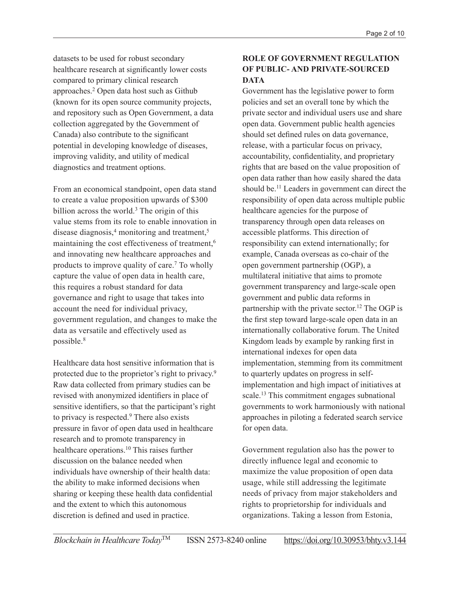datasets to be used for robust secondary healthcare research at significantly lower costs compared to primary clinical research approaches.2 Open data host such as Github (known for its open source community projects, and repository such as Open Government, a data collection aggregated by the Government of Canada) also contribute to the significant potential in developing knowledge of diseases, improving validity, and utility of medical diagnostics and treatment options.

From an economical standpoint, open data stand to create a value proposition upwards of \$300 billion across the world.<sup>3</sup> The origin of this value stems from its role to enable innovation in disease diagnosis,<sup>4</sup> monitoring and treatment,<sup>5</sup> maintaining the cost effectiveness of treatment,<sup>6</sup> and innovating new healthcare approaches and products to improve quality of care.7 To wholly capture the value of open data in health care, this requires a robust standard for data governance and right to usage that takes into account the need for individual privacy, government regulation, and changes to make the data as versatile and effectively used as possible.8

Healthcare data host sensitive information that is protected due to the proprietor's right to privacy.9 Raw data collected from primary studies can be revised with anonymized identifiers in place of sensitive identifiers, so that the participant's right to privacy is respected.<sup>9</sup> There also exists pressure in favor of open data used in healthcare research and to promote transparency in healthcare operations.10 This raises further discussion on the balance needed when individuals have ownership of their health data: the ability to make informed decisions when sharing or keeping these health data confidential and the extent to which this autonomous discretion is defined and used in practice.

## **ROLE OF GOVERNMENT REGULATION OF PUBLIC- AND PRIVATE-SOURCED DATA**

Government has the legislative power to form policies and set an overall tone by which the private sector and individual users use and share open data. Government public health agencies should set defined rules on data governance, release, with a particular focus on privacy, accountability, confidentiality, and proprietary rights that are based on the value proposition of open data rather than how easily shared the data should be.11 Leaders in government can direct the responsibility of open data across multiple public healthcare agencies for the purpose of transparency through open data releases on accessible platforms. This direction of responsibility can extend internationally; for example, Canada overseas as co-chair of the open government partnership (OGP), a multilateral initiative that aims to promote government transparency and large-scale open government and public data reforms in partnership with the private sector.<sup>12</sup> The OGP is the first step toward large-scale open data in an internationally collaborative forum. The United Kingdom leads by example by ranking first in international indexes for open data implementation, stemming from its commitment to quarterly updates on progress in selfimplementation and high impact of initiatives at scale.13 This commitment engages subnational governments to work harmoniously with national approaches in piloting a federated search service for open data.

Government regulation also has the power to directly influence legal and economic to maximize the value proposition of open data usage, while still addressing the legitimate needs of privacy from major stakeholders and rights to proprietorship for individuals and organizations. Taking a lesson from Estonia,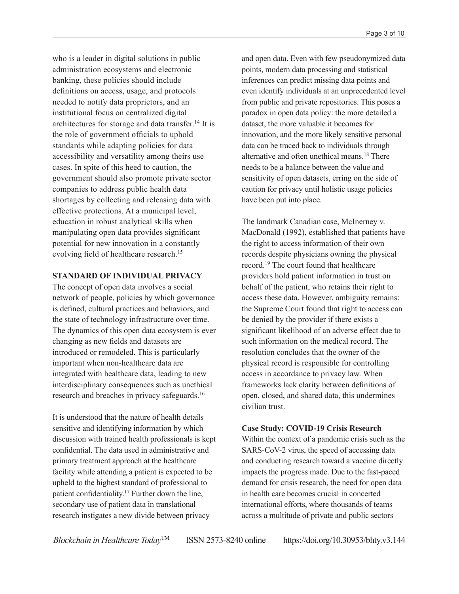who is a leader in digital solutions in public administration ecosystems and electronic banking, these policies should include definitions on access, usage, and protocols needed to notify data proprietors, and an institutional focus on centralized digital architectures for storage and data transfer.14 It is the role of government officials to uphold standards while adapting policies for data accessibility and versatility among theirs use cases. In spite of this heed to caution, the government should also promote private sector companies to address public health data shortages by collecting and releasing data with effective protections. At a municipal level, education in robust analytical skills when manipulating open data provides significant potential for new innovation in a constantly evolving field of healthcare research.<sup>15</sup>

#### **STANDARD OF INDIVIDUAL PRIVACY**

The concept of open data involves a social network of people, policies by which governance is defined, cultural practices and behaviors, and the state of technology infrastructure over time. The dynamics of this open data ecosystem is ever changing as new fields and datasets are introduced or remodeled. This is particularly important when non-healthcare data are integrated with healthcare data, leading to new interdisciplinary consequences such as unethical research and breaches in privacy safeguards.16

It is understood that the nature of health details sensitive and identifying information by which discussion with trained health professionals is kept confidential. The data used in administrative and primary treatment approach at the healthcare facility while attending a patient is expected to be upheld to the highest standard of professional to patient confidentiality.17 Further down the line, secondary use of patient data in translational research instigates a new divide between privacy

and open data. Even with few pseudonymized data points, modern data processing and statistical inferences can predict missing data points and even identify individuals at an unprecedented level from public and private repositories. This poses a paradox in open data policy: the more detailed a dataset, the more valuable it becomes for innovation, and the more likely sensitive personal data can be traced back to individuals through alternative and often unethical means.18 There needs to be a balance between the value and sensitivity of open datasets, erring on the side of caution for privacy until holistic usage policies have been put into place.

The landmark Canadian case, McInerney v. MacDonald (1992), established that patients have the right to access information of their own records despite physicians owning the physical record.19 The court found that healthcare providers hold patient information in trust on behalf of the patient, who retains their right to access these data. However, ambiguity remains: the Supreme Court found that right to access can be denied by the provider if there exists a significant likelihood of an adverse effect due to such information on the medical record. The resolution concludes that the owner of the physical record is responsible for controlling access in accordance to privacy law. When frameworks lack clarity between definitions of open, closed, and shared data, this undermines civilian trust.

#### **Case Study: COVID-19 Crisis Research**

Within the context of a pandemic crisis such as the SARS-CoV-2 virus, the speed of accessing data and conducting research toward a vaccine directly impacts the progress made. Due to the fast-paced demand for crisis research, the need for open data in health care becomes crucial in concerted international efforts, where thousands of teams across a multitude of private and public sectors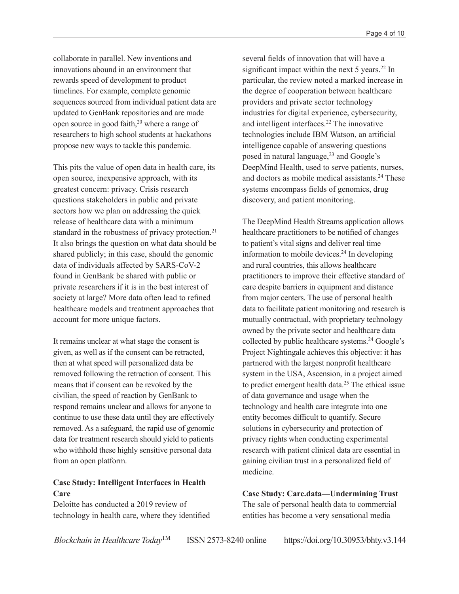collaborate in parallel. New inventions and innovations abound in an environment that rewards speed of development to product timelines. For example, complete genomic sequences sourced from individual patient data are updated to GenBank repositories and are made open source in good faith,<sup>20</sup> where a range of researchers to high school students at hackathons propose new ways to tackle this pandemic.

This pits the value of open data in health care, its open source, inexpensive approach, with its greatest concern: privacy. Crisis research questions stakeholders in public and private sectors how we plan on addressing the quick release of healthcare data with a minimum standard in the robustness of privacy protection.<sup>21</sup> It also brings the question on what data should be shared publicly; in this case, should the genomic data of individuals affected by SARS-CoV-2 found in GenBank be shared with public or private researchers if it is in the best interest of society at large? More data often lead to refined healthcare models and treatment approaches that account for more unique factors.

It remains unclear at what stage the consent is given, as well as if the consent can be retracted, then at what speed will personalized data be removed following the retraction of consent. This means that if consent can be revoked by the civilian, the speed of reaction by GenBank to respond remains unclear and allows for anyone to continue to use these data until they are effectively removed. As a safeguard, the rapid use of genomic data for treatment research should yield to patients who withhold these highly sensitive personal data from an open platform.

## **Case Study: Intelligent Interfaces in Health Care**

Deloitte has conducted a 2019 review of technology in health care, where they identified

several fields of innovation that will have a significant impact within the next 5 years.<sup>22</sup> In particular, the review noted a marked increase in the degree of cooperation between healthcare providers and private sector technology industries for digital experience, cybersecurity, and intelligent interfaces.<sup>22</sup> The innovative technologies include IBM Watson, an artificial intelligence capable of answering questions posed in natural language, $2<sup>3</sup>$  and Google's DeepMind Health, used to serve patients, nurses, and doctors as mobile medical assistants.<sup>24</sup> These systems encompass fields of genomics, drug discovery, and patient monitoring.

The DeepMind Health Streams application allows healthcare practitioners to be notified of changes to patient's vital signs and deliver real time information to mobile devices.<sup>24</sup> In developing and rural countries, this allows healthcare practitioners to improve their effective standard of care despite barriers in equipment and distance from major centers. The use of personal health data to facilitate patient monitoring and research is mutually contractual, with proprietary technology owned by the private sector and healthcare data collected by public healthcare systems.<sup>24</sup> Google's Project Nightingale achieves this objective: it has partnered with the largest nonprofit healthcare system in the USA, Ascension, in a project aimed to predict emergent health data.<sup>25</sup> The ethical issue of data governance and usage when the technology and health care integrate into one entity becomes difficult to quantify. Secure solutions in cybersecurity and protection of privacy rights when conducting experimental research with patient clinical data are essential in gaining civilian trust in a personalized field of medicine.

**Case Study: Care.data—Undermining Trust** The sale of personal health data to commercial entities has become a very sensational media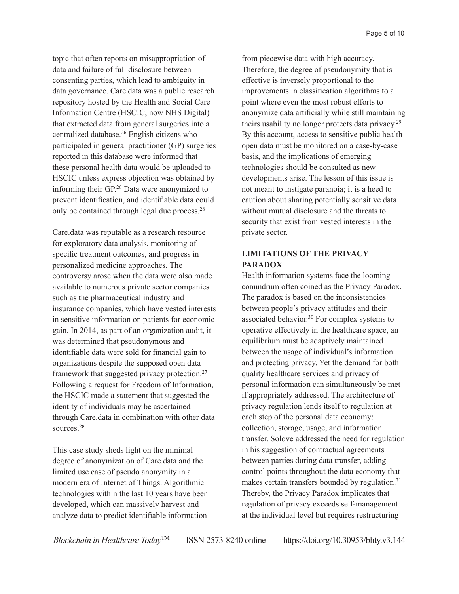topic that often reports on misappropriation of data and failure of full disclosure between consenting parties, which lead to ambiguity in data governance. Care.data was a public research repository hosted by the Health and Social Care Information Centre (HSCIC, now NHS Digital) that extracted data from general surgeries into a centralized database.26 English citizens who participated in general practitioner (GP) surgeries reported in this database were informed that these personal health data would be uploaded to HSCIC unless express objection was obtained by informing their GP.26 Data were anonymized to prevent identification, and identifiable data could only be contained through legal due process.26

Care.data was reputable as a research resource for exploratory data analysis, monitoring of specific treatment outcomes, and progress in personalized medicine approaches. The controversy arose when the data were also made available to numerous private sector companies such as the pharmaceutical industry and insurance companies, which have vested interests in sensitive information on patients for economic gain. In 2014, as part of an organization audit, it was determined that pseudonymous and identifiable data were sold for financial gain to organizations despite the supposed open data framework that suggested privacy protection.27 Following a request for Freedom of Information, the HSCIC made a statement that suggested the identity of individuals may be ascertained through Care.data in combination with other data sources<sup>28</sup>

This case study sheds light on the minimal degree of anonymization of Care.data and the limited use case of pseudo anonymity in a modern era of Internet of Things. Algorithmic technologies within the last 10 years have been developed, which can massively harvest and analyze data to predict identifiable information

from piecewise data with high accuracy. Therefore, the degree of pseudonymity that is effective is inversely proportional to the improvements in classification algorithms to a point where even the most robust efforts to anonymize data artificially while still maintaining theirs usability no longer protects data privacy.29 By this account, access to sensitive public health open data must be monitored on a case-by-case basis, and the implications of emerging technologies should be consulted as new developments arise. The lesson of this issue is not meant to instigate paranoia; it is a heed to caution about sharing potentially sensitive data without mutual disclosure and the threats to security that exist from vested interests in the private sector.

## **LIMITATIONS OF THE PRIVACY PARADOX**

Health information systems face the looming conundrum often coined as the Privacy Paradox. The paradox is based on the inconsistencies between people's privacy attitudes and their associated behavior.30 For complex systems to operative effectively in the healthcare space, an equilibrium must be adaptively maintained between the usage of individual's information and protecting privacy. Yet the demand for both quality healthcare services and privacy of personal information can simultaneously be met if appropriately addressed. The architecture of privacy regulation lends itself to regulation at each step of the personal data economy: collection, storage, usage, and information transfer. Solove addressed the need for regulation in his suggestion of contractual agreements between parties during data transfer, adding control points throughout the data economy that makes certain transfers bounded by regulation.<sup>31</sup> Thereby, the Privacy Paradox implicates that regulation of privacy exceeds self-management at the individual level but requires restructuring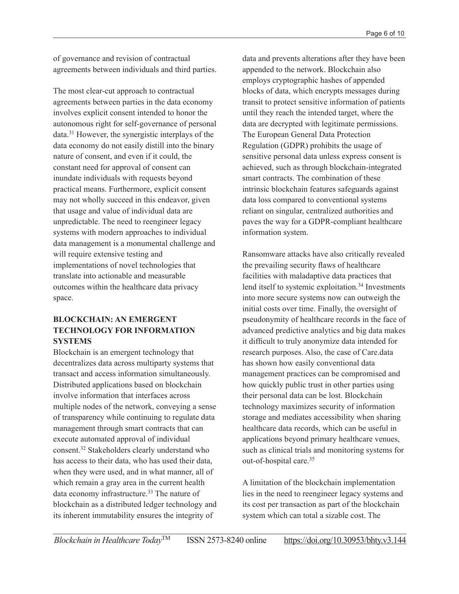of governance and revision of contractual agreements between individuals and third parties.

The most clear-cut approach to contractual agreements between parties in the data economy involves explicit consent intended to honor the autonomous right for self-governance of personal data.31 However, the synergistic interplays of the data economy do not easily distill into the binary nature of consent, and even if it could, the constant need for approval of consent can inundate individuals with requests beyond practical means. Furthermore, explicit consent may not wholly succeed in this endeavor, given that usage and value of individual data are unpredictable. The need to reengineer legacy systems with modern approaches to individual data management is a monumental challenge and will require extensive testing and implementations of novel technologies that translate into actionable and measurable outcomes within the healthcare data privacy space.

## **BLOCKCHAIN: AN EMERGENT TECHNOLOGY FOR INFORMATION SYSTEMS**

Blockchain is an emergent technology that decentralizes data across multiparty systems that transact and access information simultaneously. Distributed applications based on blockchain involve information that interfaces across multiple nodes of the network, conveying a sense of transparency while continuing to regulate data management through smart contracts that can execute automated approval of individual consent.32 Stakeholders clearly understand who has access to their data, who has used their data, when they were used, and in what manner, all of which remain a gray area in the current health data economy infrastructure.<sup>33</sup> The nature of blockchain as a distributed ledger technology and its inherent immutability ensures the integrity of

data and prevents alterations after they have been appended to the network. Blockchain also employs cryptographic hashes of appended blocks of data, which encrypts messages during transit to protect sensitive information of patients until they reach the intended target, where the data are decrypted with legitimate permissions. The European General Data Protection Regulation (GDPR) prohibits the usage of sensitive personal data unless express consent is achieved, such as through blockchain-integrated smart contracts. The combination of these intrinsic blockchain features safeguards against data loss compared to conventional systems reliant on singular, centralized authorities and paves the way for a GDPR-compliant healthcare information system.

Ransomware attacks have also critically revealed the prevailing security flaws of healthcare facilities with maladaptive data practices that lend itself to systemic exploitation.<sup>34</sup> Investments into more secure systems now can outweigh the initial costs over time. Finally, the oversight of pseudonymity of healthcare records in the face of advanced predictive analytics and big data makes it difficult to truly anonymize data intended for research purposes. Also, the case of Care.data has shown how easily conventional data management practices can be compromised and how quickly public trust in other parties using their personal data can be lost. Blockchain technology maximizes security of information storage and mediates accessibility when sharing healthcare data records, which can be useful in applications beyond primary healthcare venues, such as clinical trials and monitoring systems for out-of-hospital care.35

A limitation of the blockchain implementation lies in the need to reengineer legacy systems and its cost per transaction as part of the blockchain system which can total a sizable cost. The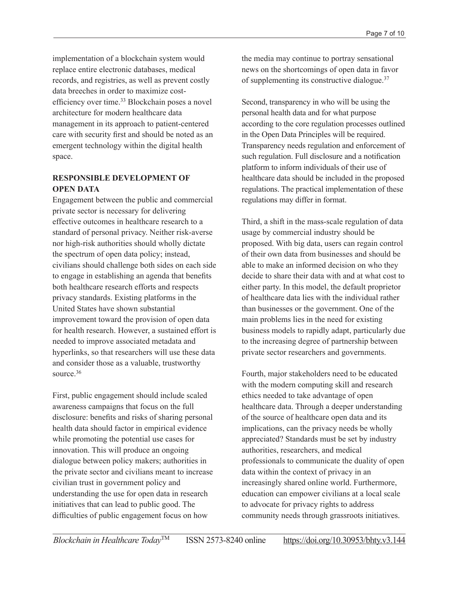implementation of a blockchain system would replace entire electronic databases, medical records, and registries, as well as prevent costly data breeches in order to maximize costefficiency over time.33 Blockchain poses a novel architecture for modern healthcare data management in its approach to patient-centered care with security first and should be noted as an emergent technology within the digital health space.

#### **RESPONSIBLE DEVELOPMENT OF OPEN DATA**

Engagement between the public and commercial private sector is necessary for delivering effective outcomes in healthcare research to a standard of personal privacy. Neither risk-averse nor high-risk authorities should wholly dictate the spectrum of open data policy; instead, civilians should challenge both sides on each side to engage in establishing an agenda that benefits both healthcare research efforts and respects privacy standards. Existing platforms in the United States have shown substantial improvement toward the provision of open data for health research. However, a sustained effort is needed to improve associated metadata and hyperlinks, so that researchers will use these data and consider those as a valuable, trustworthy source.36

First, public engagement should include scaled awareness campaigns that focus on the full disclosure: benefits and risks of sharing personal health data should factor in empirical evidence while promoting the potential use cases for innovation. This will produce an ongoing dialogue between policy makers; authorities in the private sector and civilians meant to increase civilian trust in government policy and understanding the use for open data in research initiatives that can lead to public good. The difficulties of public engagement focus on how

the media may continue to portray sensational news on the shortcomings of open data in favor of supplementing its constructive dialogue.37

Second, transparency in who will be using the personal health data and for what purpose according to the core regulation processes outlined in the Open Data Principles will be required. Transparency needs regulation and enforcement of such regulation. Full disclosure and a notification platform to inform individuals of their use of healthcare data should be included in the proposed regulations. The practical implementation of these regulations may differ in format.

Third, a shift in the mass-scale regulation of data usage by commercial industry should be proposed. With big data, users can regain control of their own data from businesses and should be able to make an informed decision on who they decide to share their data with and at what cost to either party. In this model, the default proprietor of healthcare data lies with the individual rather than businesses or the government. One of the main problems lies in the need for existing business models to rapidly adapt, particularly due to the increasing degree of partnership between private sector researchers and governments.

Fourth, major stakeholders need to be educated with the modern computing skill and research ethics needed to take advantage of open healthcare data. Through a deeper understanding of the source of healthcare open data and its implications, can the privacy needs be wholly appreciated? Standards must be set by industry authorities, researchers, and medical professionals to communicate the duality of open data within the context of privacy in an increasingly shared online world. Furthermore, education can empower civilians at a local scale to advocate for privacy rights to address community needs through grassroots initiatives.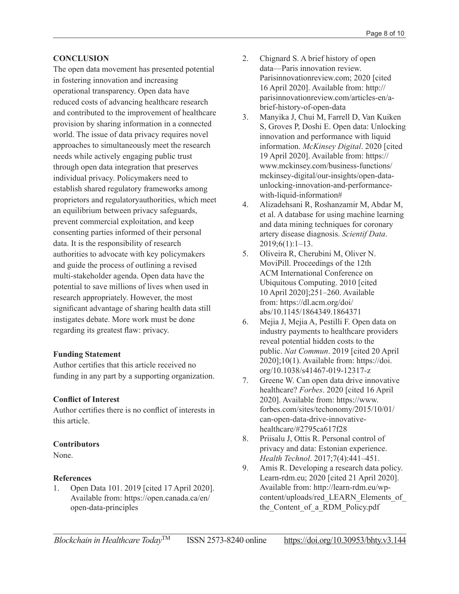#### **CONCLUSION**

The open data movement has presented potential in fostering innovation and increasing operational transparency. Open data have reduced costs of advancing healthcare research and contributed to the improvement of healthcare provision by sharing information in a connected world. The issue of data privacy requires novel approaches to simultaneously meet the research needs while actively engaging public trust through open data integration that preserves individual privacy. Policymakers need to establish shared regulatory frameworks among proprietors and regulatoryauthorities, which meet an equilibrium between privacy safeguards, prevent commercial exploitation, and keep consenting parties informed of their personal data. It is the responsibility of research authorities to advocate with key policymakers and guide the process of outlining a revised multi-stakeholder agenda. Open data have the potential to save millions of lives when used in research appropriately. However, the most significant advantage of sharing health data still instigates debate. More work must be done regarding its greatest flaw: privacy.

#### **Funding Statement**

Author certifies that this article received no funding in any part by a supporting organization.

#### **Conflict of Interest**

Author certifies there is no conflict of interests in this article.

#### **Contributors**

None.

#### **References**

1. Open Data 101. 2019 [cited 17 April 2020]. Available from: [https://open.canada.ca/en/](https://open.canada.ca/en/open-data-principles) [open-data-principles](https://open.canada.ca/en/open-data-principles)

- 2. Chignard S. A brief history of open data—Paris innovation review. [Parisinnovationreview.com](http://Parisinnovationreview.com); 2020 [cited 16 April 2020]. Available from: [http://](http://parisinnovationreview.com/articles-en/a-brief-history-of-open-data) [parisinnovationreview.com/articles-en/a](http://parisinnovationreview.com/articles-en/a-brief-history-of-open-data)[brief-history-of-open-data](http://parisinnovationreview.com/articles-en/a-brief-history-of-open-data)
- 3. Manyika J, Chui M, Farrell D, Van Kuiken S, Groves P, Doshi E. Open data: Unlocking innovation and performance with liquid information. *McKinsey Digital*. 2020 [cited 19 April 2020]. Available from: [https://](https://www.mckinsey.com/business-functions/mckinsey-digital/our-insights/open-data-unlocking-innovation-and-performance-with-liquid-information#) [www.mckinsey.com/business-functions/](https://www.mckinsey.com/business-functions/mckinsey-digital/our-insights/open-data-unlocking-innovation-and-performance-with-liquid-information#) [mckinsey-digital/our-insights/open-data](https://www.mckinsey.com/business-functions/mckinsey-digital/our-insights/open-data-unlocking-innovation-and-performance-with-liquid-information#)[unlocking-innovation-and-performance](https://www.mckinsey.com/business-functions/mckinsey-digital/our-insights/open-data-unlocking-innovation-and-performance-with-liquid-information#)[with-liquid-information#](https://www.mckinsey.com/business-functions/mckinsey-digital/our-insights/open-data-unlocking-innovation-and-performance-with-liquid-information#)
- 4. Alizadehsani R, Roshanzamir M, Abdar M, et al. A database for using machine learning and data mining techniques for coronary artery disease diagnosis. *Scientif Data*. 2019;6(1):1–13.
- 5. Oliveira R, Cherubini M, Oliver N. MoviPill. Proceedings of the 12th ACM International Conference on Ubiquitous Computing. 2010 [cited 10 April 2020];251–260. Available from: [https://dl.acm.org/doi/](https://dl.acm.org/doi/abs/10.1145/1864349.1864371) [abs/10.1145/1864349.1864371](https://dl.acm.org/doi/abs/10.1145/1864349.1864371)
- 6. Mejia J, Mejia A, Pestilli F. Open data on industry payments to healthcare providers reveal potential hidden costs to the public. *Nat Commun*. 2019 [cited 20 April 2020];10(1). Available from: [https://doi.](https://doi.org/10.1038/s41467-019-12317-z) [org/10.1038/s41467-019-12317-z](https://doi.org/10.1038/s41467-019-12317-z)
- 7. Greene W. Can open data drive innovative healthcare? *Forbes*. 2020 [cited 16 April 2020]. Available from: [https://www.](https://www.forbes.com/sites/techonomy/2015/10/01/can-open-data-drive-innovative-healthcare/#2795ca617f28) [forbes.com/sites/techonomy/2015/10/01/](https://www.forbes.com/sites/techonomy/2015/10/01/can-open-data-drive-innovative-healthcare/#2795ca617f28) [can-open-data-drive-innovative](https://www.forbes.com/sites/techonomy/2015/10/01/can-open-data-drive-innovative-healthcare/#2795ca617f28)[healthcare/#2795ca617f28](https://www.forbes.com/sites/techonomy/2015/10/01/can-open-data-drive-innovative-healthcare/#2795ca617f28)
- 8. Priisalu J, Ottis R. Personal control of privacy and data: Estonian experience. *Health Technol*. 2017;7(4):441–451.
- 9. Amis R. Developing a research data policy. [Learn-rdm.eu;](http://Learn-rdm.eu) 2020 [cited 21 April 2020]. Available from: [http://learn-rdm.eu/wp](http://learn-rdm.eu/wp-content/uploads/red_LEARN_Elements_of_the_Content_of_a_RDM_Policy.pdf)content/uploads/red\_LEARN\_Elements\_of the Content of a RDM Policy.pdf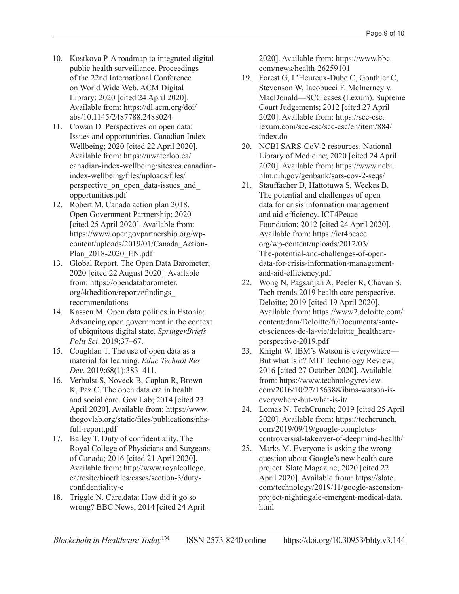- 10. Kostkova P. A roadmap to integrated digital public health surveillance. Proceedings of the 22nd International Conference on World Wide Web. ACM Digital Library; 2020 [cited 24 April 2020]. Available from: [https://dl.acm.org/doi/](https://dl.acm.org/doi/abs/10.1145/2487788.2488024) [abs/10.1145/2487788.2488024](https://dl.acm.org/doi/abs/10.1145/2487788.2488024)
- 11. Cowan D. Perspectives on open data: Issues and opportunities. Canadian Index Wellbeing; 2020 [cited 22 April 2020]. Available from: [https://uwaterloo.ca/](https://uwaterloo.ca/canadian-index-wellbeing/sites/ca.canadian-index-wellbeing/files/uploads/files/perspective_on_open_data-issues_and_opportunities.pdf) [canadian-index-wellbeing/sites/ca.canadian](https://uwaterloo.ca/canadian-index-wellbeing/sites/ca.canadian-index-wellbeing/files/uploads/files/perspective_on_open_data-issues_and_opportunities.pdf)[index-wellbeing/files/uploads/files/](https://uwaterloo.ca/canadian-index-wellbeing/sites/ca.canadian-index-wellbeing/files/uploads/files/perspective_on_open_data-issues_and_opportunities.pdf) perspective on open data-issues and [opportunities.pdf](https://uwaterloo.ca/canadian-index-wellbeing/sites/ca.canadian-index-wellbeing/files/uploads/files/perspective_on_open_data-issues_and_opportunities.pdf)
- 12. Robert M. Canada action plan 2018. Open Government Partnership; 2020 [cited 25 April 2020]. Available from: [https://www.opengovpartnership.org/wp](https://www.opengovpartnership.org/wp-content/uploads/2019/01/Canada_Action-Plan_2018-2020_EN.pdf)[content/uploads/2019/01/Canada\\_Action-](https://www.opengovpartnership.org/wp-content/uploads/2019/01/Canada_Action-Plan_2018-2020_EN.pdf)[Plan\\_2018-2020\\_EN.pdf](https://www.opengovpartnership.org/wp-content/uploads/2019/01/Canada_Action-Plan_2018-2020_EN.pdf)
- 13. Global Report. The Open Data Barometer; 2020 [cited 22 August 2020]. Available from: [https://opendatabarometer.](https://opendatabarometer.org/4thedition/report/#findings_recommendations) [org/4thedition/report/#findings\\_](https://opendatabarometer.org/4thedition/report/#findings_recommendations) [recommendations](https://opendatabarometer.org/4thedition/report/#findings_recommendations)
- 14. Kassen M. Open data politics in Estonia: Advancing open government in the context of ubiquitous digital state. *SpringerBriefs Polit Sci*. 2019;37–67.
- 15. Coughlan T. The use of open data as a material for learning. *Educ Technol Res Dev*. 2019;68(1):383–411.
- 16. Verhulst S, Noveck B, Caplan R, Brown K, Paz C. The open data era in health and social care. Gov Lab; 2014 [cited 23 April 2020]. Available from: [https://www.](https://www.thegovlab.org/static/files/publications/nhs-full-report.pdf) [thegovlab.org/static/files/publications/nhs](https://www.thegovlab.org/static/files/publications/nhs-full-report.pdf)[full-report.pdf](https://www.thegovlab.org/static/files/publications/nhs-full-report.pdf)
- 17. Bailey T. Duty of confidentiality. The Royal College of Physicians and Surgeons of Canada; 2016 [cited 21 April 2020]. Available from: [http://www.royalcollege.](http://www.royalcollege.ca/rcsite/bioethics/cases/section-3/duty-confidentiality-e) [ca/rcsite/bioethics/cases/section-3/duty](http://www.royalcollege.ca/rcsite/bioethics/cases/section-3/duty-confidentiality-e)[confidentiality-e](http://www.royalcollege.ca/rcsite/bioethics/cases/section-3/duty-confidentiality-e)
- 18. Triggle N. Care.data: How did it go so wrong? BBC News; 2014 [cited 24 April

2020]. Available from: [https://www.bbc.](https://www.bbc.com/news/health-26259101) [com/news/health-26259101](https://www.bbc.com/news/health-26259101)

- 19. Forest G, L'Heureux-Dube C, Gonthier C, Stevenson W, Iacobucci F. McInerney v. MacDonald—SCC cases (Lexum). Supreme Court Judgements; 2012 [cited 27 April 2020]. Available from: [https://scc-csc.](https://scc-csc.lexum.com/scc-csc/scc-csc/en/item/884/index.do) [lexum.com/scc-csc/scc-csc/en/item/884/](https://scc-csc.lexum.com/scc-csc/scc-csc/en/item/884/index.do) [index.do](https://scc-csc.lexum.com/scc-csc/scc-csc/en/item/884/index.do)
- 20. NCBI SARS-CoV-2 resources. National Library of Medicine; 2020 [cited 24 April 2020]. Available from: [https://www.ncbi.](https://www.ncbi.nlm.nih.gov/genbank/sars-cov-2-seqs/) [nlm.nih.gov/genbank/sars-cov-2-seqs/](https://www.ncbi.nlm.nih.gov/genbank/sars-cov-2-seqs/)
- 21. Stauffacher D, Hattotuwa S, Weekes B. The potential and challenges of open data for crisis information management and aid efficiency. ICT4Peace Foundation; 2012 [cited 24 April 2020]. Available from: [https://ict4peace.](https://ict4peace.org/wp-content/uploads/2012/03/The-potential-and-challenges-of-open-data-for-crisis-information-management-and-aid-efficiency.pdf) [org/wp-content/uploads/2012/03/](https://ict4peace.org/wp-content/uploads/2012/03/The-potential-and-challenges-of-open-data-for-crisis-information-management-and-aid-efficiency.pdf) [The-potential-and-challenges-of-open](https://ict4peace.org/wp-content/uploads/2012/03/The-potential-and-challenges-of-open-data-for-crisis-information-management-and-aid-efficiency.pdf)[data-for-crisis-information-management](https://ict4peace.org/wp-content/uploads/2012/03/The-potential-and-challenges-of-open-data-for-crisis-information-management-and-aid-efficiency.pdf)[and-aid-efficiency.pdf](https://ict4peace.org/wp-content/uploads/2012/03/The-potential-and-challenges-of-open-data-for-crisis-information-management-and-aid-efficiency.pdf)
- 22. Wong N, Pagsanjan A, Peeler R, Chavan S. Tech trends 2019 health care perspective. Deloitte; 2019 [cited 19 April 2020]. Available from: [https://www2.deloitte.com/](https://www2.deloitte.com/content/dam/Deloitte/fr/Documents/sante-et-sciences-de-la-vie/deloitte_healthcare-perspective-2019.pdf) [content/dam/Deloitte/fr/Documents/sante](https://www2.deloitte.com/content/dam/Deloitte/fr/Documents/sante-et-sciences-de-la-vie/deloitte_healthcare-perspective-2019.pdf)[et-sciences-de-la-vie/deloitte\\_healthcare](https://www2.deloitte.com/content/dam/Deloitte/fr/Documents/sante-et-sciences-de-la-vie/deloitte_healthcare-perspective-2019.pdf)[perspective-2019.pdf](https://www2.deloitte.com/content/dam/Deloitte/fr/Documents/sante-et-sciences-de-la-vie/deloitte_healthcare-perspective-2019.pdf)
- 23. Knight W. IBM's Watson is everywhere— But what is it? MIT Technology Review; 2016 [cited 27 October 2020]. Available from: [https://www.technologyreview.](https://www.technologyreview.com/2016/10/27/156388/ibms-watson-is-everywhere-but-what-is-it/) [com/2016/10/27/156388/ibms-watson-is](https://www.technologyreview.com/2016/10/27/156388/ibms-watson-is-everywhere-but-what-is-it/)[everywhere-but-what-is-it/](https://www.technologyreview.com/2016/10/27/156388/ibms-watson-is-everywhere-but-what-is-it/)
- 24. Lomas N. TechCrunch; 2019 [cited 25 April 2020]. Available from: [https://techcrunch.](https://techcrunch.com/2019/09/19/google-completes-controversial-takeover-of-deepmind-health/) [com/2019/09/19/google-completes](https://techcrunch.com/2019/09/19/google-completes-controversial-takeover-of-deepmind-health/)[controversial-takeover-of-deepmind-health/](https://techcrunch.com/2019/09/19/google-completes-controversial-takeover-of-deepmind-health/)
- 25. Marks M. Everyone is asking the wrong question about Google's new health care project. Slate Magazine; 2020 [cited 22 April 2020]. Available from: [https://slate.](https://slate.com/technology/2019/11/google-ascension-project-nightingale-emergent-medical-data.html) [com/technology/2019/11/google-ascension](https://slate.com/technology/2019/11/google-ascension-project-nightingale-emergent-medical-data.html)[project-nightingale-emergent-medical-data.](https://slate.com/technology/2019/11/google-ascension-project-nightingale-emergent-medical-data.html) [html](https://slate.com/technology/2019/11/google-ascension-project-nightingale-emergent-medical-data.html)